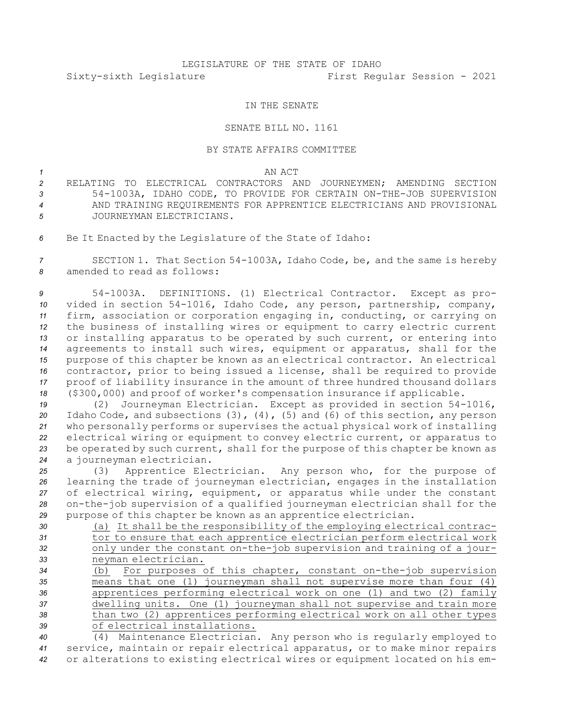## LEGISLATURE OF THE STATE OF IDAHO Sixty-sixth Legislature First Regular Session - 2021

## IN THE SENATE

## SENATE BILL NO. 1161

## BY STATE AFFAIRS COMMITTEE

*1* AN ACT

- *2* RELATING TO ELECTRICAL CONTRACTORS AND JOURNEYMEN; AMENDING SECTION *<sup>3</sup>* 54-1003A, IDAHO CODE, TO PROVIDE FOR CERTAIN ON-THE-JOB SUPERVISION *4* AND TRAINING REQUIREMENTS FOR APPRENTICE ELECTRICIANS AND PROVISIONAL *5* JOURNEYMAN ELECTRICIANS.
- *<sup>6</sup>* Be It Enacted by the Legislature of the State of Idaho:

*<sup>7</sup>* SECTION 1. That Section 54-1003A, Idaho Code, be, and the same is hereby *8* amended to read as follows:

 54-1003A. DEFINITIONS. (1) Electrical Contractor. Except as pro- vided in section 54-1016, Idaho Code, any person, partnership, company, firm, association or corporation engaging in, conducting, or carrying on the business of installing wires or equipment to carry electric current or installing apparatus to be operated by such current, or entering into agreements to install such wires, equipment or apparatus, shall for the purpose of this chapter be known as an electrical contractor. An electrical contractor, prior to being issued <sup>a</sup> license, shall be required to provide proof of liability insurance in the amount of three hundred thousand dollars (\$300,000) and proof of worker's compensation insurance if applicable.

 (2) Journeyman Electrician. Except as provided in section 54-1016, Idaho Code, and subsections (3), (4), (5) and (6) of this section, any person who personally performs or supervises the actual physical work of installing electrical wiring or equipment to convey electric current, or apparatus to be operated by such current, shall for the purpose of this chapter be known as <sup>a</sup> journeyman electrician.

 (3) Apprentice Electrician. Any person who, for the purpose of learning the trade of journeyman electrician, engages in the installation of electrical wiring, equipment, or apparatus while under the constant on-the-job supervision of <sup>a</sup> qualified journeyman electrician shall for the purpose of this chapter be known as an apprentice electrician.

- *<sup>30</sup>* (a) It shall be the responsibility of the employing electrical contrac-*<sup>31</sup>* tor to ensure that each apprentice electrician perform electrical work *<sup>32</sup>* only under the constant on-the-job supervision and training of <sup>a</sup> jour-*<sup>33</sup>* neyman electrician. *<sup>34</sup>* (b) For purposes of this chapter, constant on-the-job supervision
- *<sup>35</sup>* means that one (1) journeyman shall not supervise more than four (4) *<sup>36</sup>* apprentices performing electrical work on one (1) and two (2) family *<sup>37</sup>* dwelling units. One (1) journeyman shall not supervise and train more *<sup>38</sup>* than two (2) apprentices performing electrical work on all other types *39* of electrical installations.

*<sup>40</sup>* (4) Maintenance Electrician. Any person who is regularly employed to *<sup>41</sup>* service, maintain or repair electrical apparatus, or to make minor repairs *<sup>42</sup>* or alterations to existing electrical wires or equipment located on his em-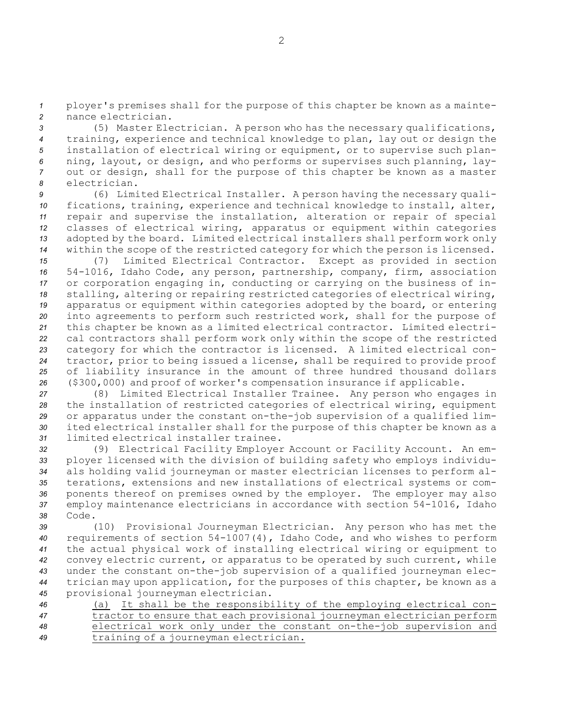*<sup>1</sup>* ployer's premises shall for the purpose of this chapter be known as <sup>a</sup> mainte-*2* nance electrician.

 (5) Master Electrician. <sup>A</sup> person who has the necessary qualifications, training, experience and technical knowledge to plan, lay out or design the installation of electrical wiring or equipment, or to supervise such plan- ning, layout, or design, and who performs or supervises such planning, lay- out or design, shall for the purpose of this chapter be known as <sup>a</sup> master electrician.

 (6) Limited Electrical Installer. <sup>A</sup> person having the necessary quali- fications, training, experience and technical knowledge to install, alter, repair and supervise the installation, alteration or repair of special classes of electrical wiring, apparatus or equipment within categories adopted by the board. Limited electrical installers shall perform work only within the scope of the restricted category for which the person is licensed.

 (7) Limited Electrical Contractor. Except as provided in section 54-1016, Idaho Code, any person, partnership, company, firm, association or corporation engaging in, conducting or carrying on the business of in- stalling, altering or repairing restricted categories of electrical wiring, apparatus or equipment within categories adopted by the board, or entering into agreements to perform such restricted work, shall for the purpose of this chapter be known as <sup>a</sup> limited electrical contractor. Limited electri- cal contractors shall perform work only within the scope of the restricted category for which the contractor is licensed. <sup>A</sup> limited electrical con- tractor, prior to being issued <sup>a</sup> license, shall be required to provide proof of liability insurance in the amount of three hundred thousand dollars (\$300,000) and proof of worker's compensation insurance if applicable.

 (8) Limited Electrical Installer Trainee. Any person who engages in the installation of restricted categories of electrical wiring, equipment or apparatus under the constant on-the-job supervision of <sup>a</sup> qualified lim- ited electrical installer shall for the purpose of this chapter be known as <sup>a</sup> limited electrical installer trainee.

 (9) Electrical Facility Employer Account or Facility Account. An em- ployer licensed with the division of building safety who employs individu- als holding valid journeyman or master electrician licenses to perform al- terations, extensions and new installations of electrical systems or com- ponents thereof on premises owned by the employer. The employer may also employ maintenance electricians in accordance with section 54-1016, Idaho *38* Code.

 (10) Provisional Journeyman Electrician. Any person who has met the requirements of section 54-1007(4), Idaho Code, and who wishes to perform the actual physical work of installing electrical wiring or equipment to convey electric current, or apparatus to be operated by such current, while under the constant on-the-job supervision of <sup>a</sup> qualified journeyman elec- trician may upon application, for the purposes of this chapter, be known as <sup>a</sup> provisional journeyman electrician.

 (a) It shall be the responsibility of the employing electrical con- tractor to ensure that each provisional journeyman electrician perform electrical work only under the constant on-the-job supervision and training of <sup>a</sup> journeyman electrician.